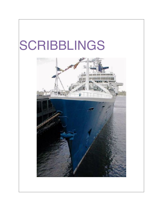## **SCRIBBLINGS**

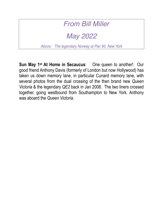## *From Bill Miller*

## *May 2022*

*Above: The legendary Norway at Pier 90, New York* 

**Sun May 1st At Home in Secaucus:** One queen to another! Our good friend Anthony Davis (formerly of London but now Hollywood) has taken us down memory lane, in particular Cunard memory lane, with several photos from the dual crossing of the then brand new *Queen Victoria* & the legendary *QE2* back in Jan 2008. The two liners crossed together, going westbound from Southampton to New York. Anthony was aboard the *Queen Victoria*.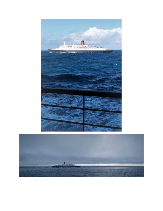

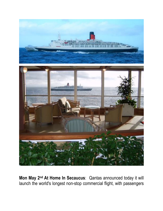

**Mon May 2nd At Home In Secaucus**: Qantas announced today it will launch the world's longest non-stop commercial flight, with passengers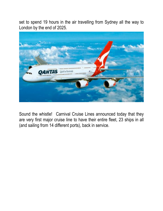set to spend 19 hours in the air travelling from Sydney all the way to London by the end of 2025.



Sound the whistle! Carnival Cruise Lines announced today that they are very first major cruise line to have their entire fleet, 23 ships in all (and sailing from 14 different ports), back in service.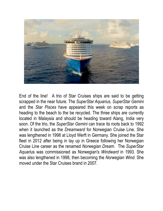

End of the line! A trio of Star Cruises ships are said to be getting scrapped in the near future. The *SuperStar Aquarius, SuperStar Gemini* and the *Star Pisces* have appeared this week on scrap reports as heading to the beach to the be recycled. The three ships are currently located in Malaysia and should be heading toward Alang, India very soon. Of the trio, the *SuperStar Gemini* can trace its roots back to 1992 when it launched as the *Dreamward* for Norwegian Cruise Line. She was lengthened in 1998 at Lloyd Werft in Germany. She joined the Star fleet in 2012 after being in lay up in Greece following her Norwegian Cruise Line career as the renamed *Norwegian Dream*. The *SuperStar Aquari*us was commissioned as Norwegian's *Windward* in 1993. She was also lengthened in 1998, then becoming the *Norwegian Wind*. She moved under the Star Cruises brand in 2007.